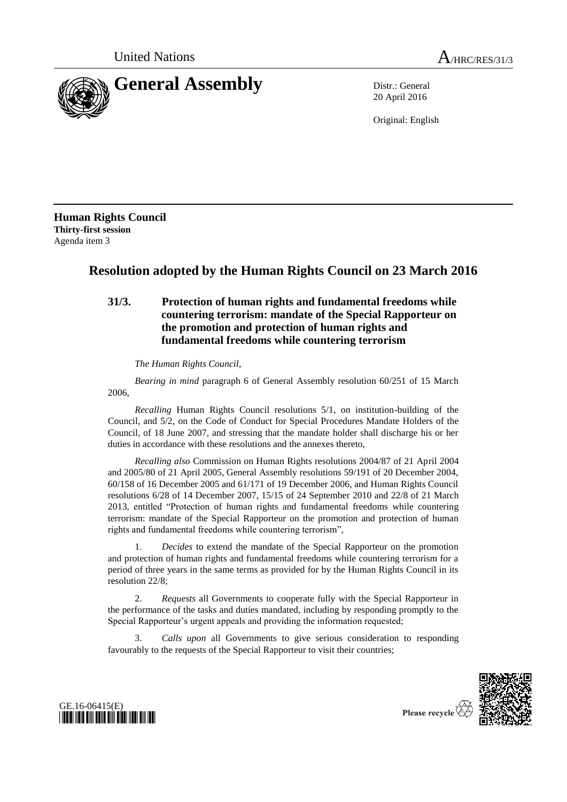

20 April 2016

Original: English

**Human Rights Council Thirty-first session** Agenda item 3

## **Resolution adopted by the Human Rights Council on 23 March 2016**

## **31/3. Protection of human rights and fundamental freedoms while countering terrorism: mandate of the Special Rapporteur on the promotion and protection of human rights and fundamental freedoms while countering terrorism**

*The Human Rights Council*,

*Bearing in mind* paragraph 6 of General Assembly resolution 60/251 of 15 March 2006,

*Recalling* Human Rights Council resolutions 5/1, on institution-building of the Council, and 5/2, on the Code of Conduct for Special Procedures Mandate Holders of the Council, of 18 June 2007, and stressing that the mandate holder shall discharge his or her duties in accordance with these resolutions and the annexes thereto,

*Recalling also* Commission on Human Rights resolutions 2004/87 of 21 April 2004 and 2005/80 of 21 April 2005, General Assembly resolutions 59/191 of 20 December 2004, 60/158 of 16 December 2005 and 61/171 of 19 December 2006, and Human Rights Council resolutions 6/28 of 14 December 2007, 15/15 of 24 September 2010 and 22/8 of 21 March 2013, entitled "Protection of human rights and fundamental freedoms while countering terrorism: mandate of the Special Rapporteur on the promotion and protection of human rights and fundamental freedoms while countering terrorism",

1. *Decides* to extend the mandate of the Special Rapporteur on the promotion and protection of human rights and fundamental freedoms while countering terrorism for a period of three years in the same terms as provided for by the Human Rights Council in its resolution 22/8;

2. *Requests* all Governments to cooperate fully with the Special Rapporteur in the performance of the tasks and duties mandated, including by responding promptly to the Special Rapporteur's urgent appeals and providing the information requested;

3. *Calls upon* all Governments to give serious consideration to responding favourably to the requests of the Special Rapporteur to visit their countries;





Please recycle